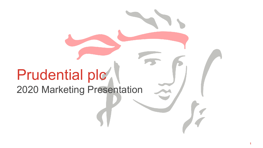# Prudential plc

2020 Marketing Presentation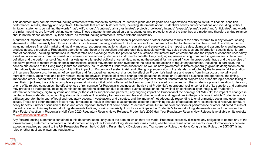This document may contain 'forward-looking statements' with respect to certain of Prudential's plans and its goals and expectations relating to its future financial condition, performance, results, strategy and objectives. Statements that are not historical facts, including statements about Prudential's beliefs and expectations and including, without limitation, statements containing the words 'may', 'will', 'should', 'continue', 'aims', 'estimates', 'projects', 'believes', 'intends', 'expects', 'plans', 'seeks' and 'anticipates', and words of similar meaning, are forward-looking statements. These statements are based on plans, estimates and projections as at the time they are made, and therefore undue reliance should not be placed on them. By their nature, all forward-looking statements involve risk and uncertainty.

A number of important factors could cause Prudential's actual future financial condition or performance or other indicated results of the entity referred to in any forward-looking statement to differ materially from those indicated in such forward-looking statement. Such factors include, but are not limited to, the impact of the current Covid-19 pandemic, including adverse financial market and liquidity impacts, responses and actions taken by regulators and supervisors, the impact to sales, claims and assumptions and increased product lapses, disruption to Prudential's operations (and those of its suppliers and partners), risks associated with new sales processes and information security risks; future market conditions, including fluctuations in interest rates and exchange rates, the potential for a sustained low-interest rate environment, and the impact of economic uncertainty, asset valuation impacts from the transition to a lower carbon economy, derivative instruments not effectively hedging exposures arising from product guarantees, inflation and deflation and the performance of financial markets generally; global political uncertainties, including the potential for increased friction in cross-border trade and the exercise of executive powers to restrict trade, financial transactions, capital movements and/or investment; the policies and actions of regulatory authorities, including, in particular, the policies and actions of the Hong Kong Insurance Authority, as Prudential's Group-wide supervisor, as well as new government initiatives generally; given its designation as an Internationally Active Insurance Group ("IAIG"), the impact on Prudential of systemic risk and other group supervision policy standards adopted by the International Association of Insurance Supervisors; the impact of competition and fast-paced technological change; the effect on Prudential's business and results from, in particular, mortality and morbidity trends, lapse rates and policy renewal rates; the physical impacts of climate change and global health crises on Prudential's business and operations; the timing, impact and other uncertainties of future acquisitions or combinations within relevant industries; the impact of internal transformation projects and other strategic actions failing to meet their objectives; the ability to complete a potential minority initial public offering of Jackson, or one of its related companies, or other strategic options in relation to Jackson, or one of its related companies; the effectiveness of reinsurance for Prudential's businesses; the risk that Prudential's operational resilience (or that of its suppliers and partners) may prove to be inadequate, including in relation to operational disruption due to external events; disruption to the availability, confidentiality or integrity of Prudential's information technology, digital systems and data (or those of its suppliers and partners); any ongoing impact on Prudential of the demerger of M&G plc; the impact of changes in capital, solvency standards, accounting standards or relevant regulatory frameworks, and tax and other legislation and regulations in the jurisdictions in which Prudential and its affiliates operate; the impact of legal and regulatory actions, investigations and disputes; and the impact of not adequately responding to environmental, social and governance issues. These and other important factors may, for example, result in changes to assumptions used for determining results of operations or re-estimations of reserves for future policy benefits. Further discussion of these and other important factors that could cause Prudential's actual future financial condition or performance or other indicated results of the entity referred to in any forward-looking statements to differ, possibly materially, from those anticipated in Prudential's forward-looking statements can be found under the 'Risk Factors' section in Prudential's Half Year 2020 Regulatory Results News Release. Prudential's 2020 Half Year Regulatory Results New Release is available on its website at [www.prudentialplc.com](http://www.prudentialplc.com/).

Any forward-looking statements contained in this document speak only as of the date on which they are made. Prudential expressly disclaims any obligation to update any of the forward-looking statements contained in this document or any other forward-looking statements it may make, whether as a result of future events, new information or otherwise except as required pursuant to the UK Prospectus Rules, the UK Listing Rules, the UK Disclosure and Transparency Rules, the Hong Kong Listing Rules, the SGX-ST listing rules or other applicable laws and regulations.

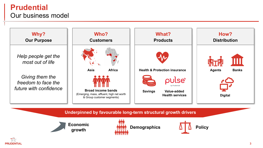### **Prudential** Our business model



### **PRUDENTIAL**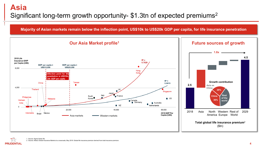**Majority of Asian markets remain below the inflection point, US\$10k to US\$20k GDP per capita, for life insurance penetration** 



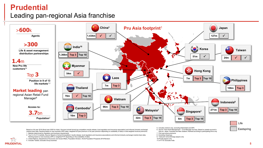### **Prudential**

### Leading pan-regional Asia franchise



- 1. Markets determined by regulatory and business requirements
- 2. Top 3 in 9 of 13 markets. Source: Based on formal (Competitors' results release, local regulators and insurance associations) and informal (industry exchange) market share data. Ranking based on new business (APE or weighted FYP depending on the availability of data)
- 3. United Nations, Department of Economic and Social Affairs, Population Division, World Population Prospects 2019 Revision

4. Includes Takaful, excludes Group business

**PRUDENTIAL** 

- 9. Total joint venture/foreign players only
- 8. Excluding Jiwasraya 10.Private players only

11.In FY19. Excludes India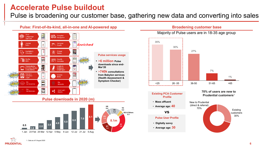### **Accelerate Pulse buildout**

Pulse is broadening our customer base, gathering new data and converting into sales

**ID**

**0.4 0.4**

**SG & Others 0.1**







**Broadening customer base**

### **Profile**

- **Mass affluent**
- **Average age: 40**

#### **vs**

#### **Pulse User Profile**

- **Digitally savvy**
- **Average age: 30**

#### **70% of users are new to Prudential customer PCA Customer Prudential customers<sup>1</sup>**



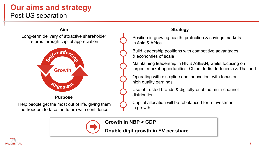### **Our aims and strategy** Post US separation

## **Aim Strategy** Long-term delivery of attractive shareholder returns through capital appreciation Sext-reinforc, **Growth** Alignment **Purpose**

Help people get the most out of life, giving them the freedom to face the future with confidence

Position in growing health, protection & savings markets in Asia & Africa

Build leadership positions with competitive advantages & economies of scale

Maintaining leadership in HK & ASEAN, whilst focusing on largest market opportunities: China, India, Indonesia & Thailand

Operating with discipline and innovation, with focus on high quality earnings

Use of trusted brands & digitally-enabled multi-channel distribution

Capital allocation will be rebalanced for reinvestment in growth



### **Growth in NBP > GDP**

**Double digit growth in EV per share**